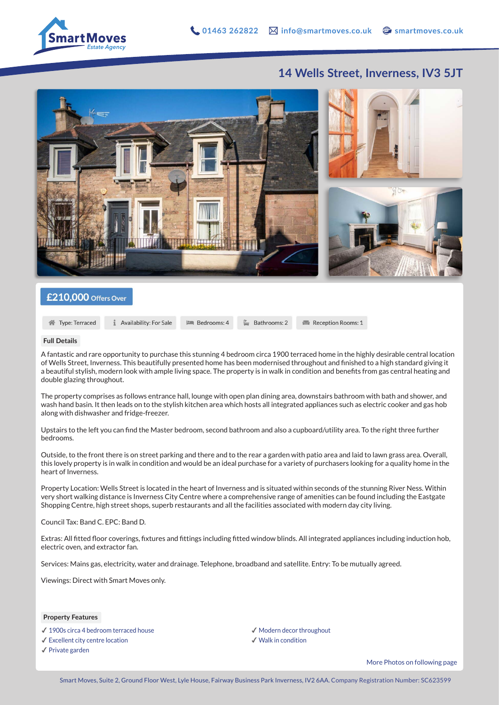

## **14 Wells Street, Inverness, IV3 5JT**



### £210,000 Offers Over

```
谷 Type: Terraced
```
Availability: For Sale **ISON** Bedrooms: 4 Bathrooms: 2

Reception Rooms: 1

#### **Full Details**

A fantastic and rare opportunity to purchase this stunning 4 bedroom circa 1900 terraced home in the highly desirable central location of Wells Street, Inverness. This beautifully presented home has been modernised throughout and finished to a high standard giving it a beautiful stylish, modern look with ample living space. The property is in walk in condition and benefits from gas central heating and double glazing throughout.

The property comprises as follows entrance hall, lounge with open plan dining area, downstairs bathroom with bath and shower, and wash hand basin. It then leads on to the stylish kitchen area which hosts all integrated appliances such as electric cooker and gas hob along with dishwasher and fridge-freezer.

Upstairs to the left you can find the Master bedroom, second bathroom and also a cupboard/utility area. To the right three further bedrooms.

Outside, to the front there is on street parking and there and to the rear a garden with patio area and laid to lawn grass area. Overall, this lovely property is in walk in condition and would be an ideal purchase for a variety of purchasers looking for a quality home in the heart of Inverness.

Property Location: Wells Street is located in the heart of Inverness and is situated within seconds of the stunning River Ness. Within very short walking distance is Inverness City Centre where a comprehensive range of amenities can be found including the Eastgate Shopping Centre, high street shops, superb restaurants and all the facilities associated with modern day city living.

Council Tax: Band C. EPC: Band D.

Extras: All fitted floor coverings, fixtures and fittings including fitted window blinds. All integrated appliances including induction hob, electric oven, and extractor fan.

Services: Mains gas, electricity, water and drainage. Telephone, broadband and satellite. Entry: To be mutually agreed.

Viewings: Direct with Smart Moves only.

#### **Property Features**

- ✔︎ 1900s circa 4 bedroom terraced house
- ✔︎ Excellent city centre location
- ✔︎ Private garden
- ✔︎ Modern decor throughout
- ✔︎ Walk in condition

More Photos on following page